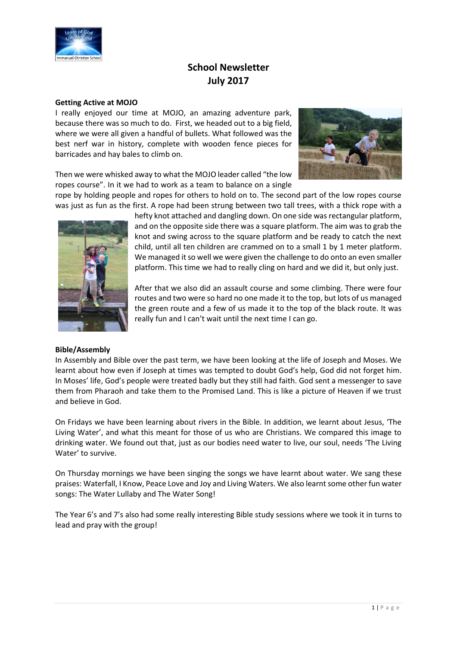

# **School Newsletter July 2017**

### **Getting Active at MOJO**

I really enjoyed our time at MOJO, an amazing adventure park, because there was so much to do. First, we headed out to a big field, where we were all given a handful of bullets. What followed was the best nerf war in history, complete with wooden fence pieces for barricades and hay bales to climb on.



Then we were whisked away to what the MOJO leader called "the low ropes course". In it we had to work as a team to balance on a single

rope by holding people and ropes for others to hold on to. The second part of the low ropes course was just as fun as the first. A rope had been strung between two tall trees, with a thick rope with a



### **Bible/Assembly**

hefty knot attached and dangling down. On one side was rectangular platform, and on the opposite side there was a square platform. The aim was to grab the knot and swing across to the square platform and be ready to catch the next child, until all ten children are crammed on to a small 1 by 1 meter platform. We managed it so well we were given the challenge to do onto an even smaller platform. This time we had to really cling on hard and we did it, but only just.

After that we also did an assault course and some climbing. There were four routes and two were so hard no one made it to the top, but lots of us managed the green route and a few of us made it to the top of the black route. It was really fun and I can't wait until the next time I can go.

In Assembly and Bible over the past term, we have been looking at the life of Joseph and Moses. We learnt about how even if Joseph at times was tempted to doubt God's help, God did not forget him. In Moses' life, God's people were treated badly but they still had faith. God sent a messenger to save them from Pharaoh and take them to the Promised Land. This is like a picture of Heaven if we trust and believe in God.

On Fridays we have been learning about rivers in the Bible. In addition, we learnt about Jesus, 'The Living Water', and what this meant for those of us who are Christians. We compared this image to drinking water. We found out that, just as our bodies need water to live, our soul, needs 'The Living Water' to survive.

On Thursday mornings we have been singing the songs we have learnt about water. We sang these praises: Waterfall, I Know, Peace Love and Joy and Living Waters. We also learnt some other fun water songs: The Water Lullaby and The Water Song!

The Year 6's and 7's also had some really interesting Bible study sessions where we took it in turns to lead and pray with the group!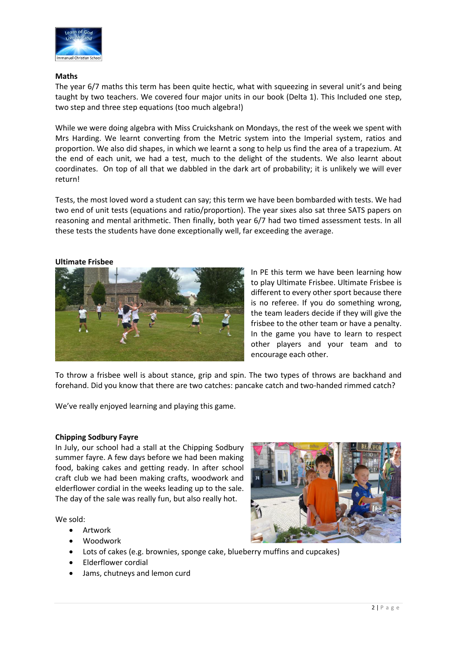

# **Maths**

The year 6/7 maths this term has been quite hectic, what with squeezing in several unit's and being taught by two teachers. We covered four major units in our book (Delta 1). This Included one step, two step and three step equations (too much algebra!)

While we were doing algebra with Miss Cruickshank on Mondays, the rest of the week we spent with Mrs Harding. We learnt converting from the Metric system into the Imperial system, ratios and proportion. We also did shapes, in which we learnt a song to help us find the area of a trapezium. At the end of each unit, we had a test, much to the delight of the students. We also learnt about coordinates. On top of all that we dabbled in the dark art of probability; it is unlikely we will ever return!

Tests, the most loved word a student can say; this term we have been bombarded with tests. We had two end of unit tests (equations and ratio/proportion). The year sixes also sat three SATS papers on reasoning and mental arithmetic. Then finally, both year 6/7 had two timed assessment tests. In all these tests the students have done exceptionally well, far exceeding the average.

# **Ultimate Frisbee**



In PE this term we have been learning how to play Ultimate Frisbee. Ultimate Frisbee is different to every other sport because there is no referee. If you do something wrong, the team leaders decide if they will give the frisbee to the other team or have a penalty. In the game you have to learn to respect other players and your team and to encourage each other.

To throw a frisbee well is about stance, grip and spin. The two types of throws are backhand and forehand. Did you know that there are two catches: pancake catch and two-handed rimmed catch?

We've really enjoyed learning and playing this game.

# **Chipping Sodbury Fayre**

In July, our school had a stall at the Chipping Sodbury summer fayre. A few days before we had been making food, baking cakes and getting ready. In after school craft club we had been making crafts, woodwork and elderflower cordial in the weeks leading up to the sale. The day of the sale was really fun, but also really hot.

We sold:

- Artwork
- Woodwork
- Lots of cakes (e.g. brownies, sponge cake, blueberry muffins and cupcakes)
- Elderflower cordial
- Jams, chutneys and lemon curd

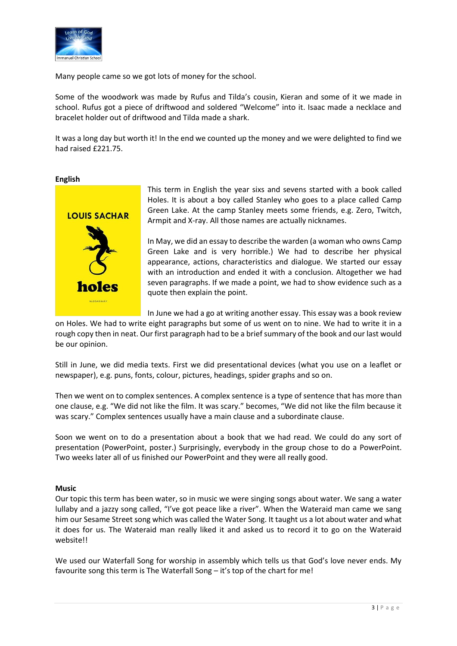

Many people came so we got lots of money for the school.

Some of the woodwork was made by Rufus and Tilda's cousin, Kieran and some of it we made in school. Rufus got a piece of driftwood and soldered "Welcome" into it. Isaac made a necklace and bracelet holder out of driftwood and Tilda made a shark.

It was a long day but worth it! In the end we counted up the money and we were delighted to find we had raised £221.75.

### **English**



This term in English the year sixs and sevens started with a book called Holes. It is about a boy called Stanley who goes to a place called Camp Green Lake. At the camp Stanley meets some friends, e.g. Zero, Twitch, Armpit and X-ray. All those names are actually nicknames.

In May, we did an essay to describe the warden (a woman who owns Camp Green Lake and is very horrible.) We had to describe her physical appearance, actions, characteristics and dialogue. We started our essay with an introduction and ended it with a conclusion. Altogether we had seven paragraphs. If we made a point, we had to show evidence such as a quote then explain the point.

In June we had a go at writing another essay. This essay was a book review

on Holes. We had to write eight paragraphs but some of us went on to nine. We had to write it in a rough copy then in neat. Our first paragraph had to be a brief summary of the book and our last would be our opinion.

Still in June, we did media texts. First we did presentational devices (what you use on a leaflet or newspaper), e.g. puns, fonts, colour, pictures, headings, spider graphs and so on.

Then we went on to complex sentences. A complex sentence is a type of sentence that has more than one clause, e.g. "We did not like the film. It was scary." becomes, "We did not like the film because it was scary." Complex sentences usually have a main clause and a subordinate clause.

Soon we went on to do a presentation about a book that we had read. We could do any sort of presentation (PowerPoint, poster.) Surprisingly, everybody in the group chose to do a PowerPoint. Two weeks later all of us finished our PowerPoint and they were all really good.

# **Music**

Our topic this term has been water, so in music we were singing songs about water. We sang a water lullaby and a jazzy song called, "I've got peace like a river". When the Wateraid man came we sang him our Sesame Street song which was called the Water Song. It taught us a lot about water and what it does for us. The Wateraid man really liked it and asked us to record it to go on the Wateraid website!!

We used our Waterfall Song for worship in assembly which tells us that God's love never ends. My favourite song this term is The Waterfall Song – it's top of the chart for me!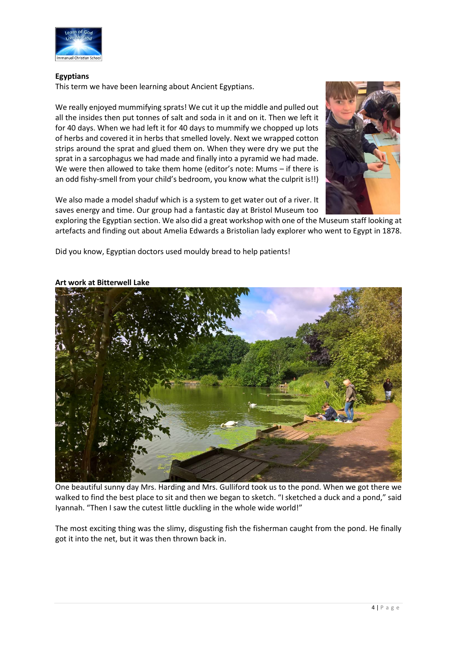

# **Egyptians**

This term we have been learning about Ancient Egyptians.

We really enjoyed mummifying sprats! We cut it up the middle and pulled out all the insides then put tonnes of salt and soda in it and on it. Then we left it for 40 days. When we had left it for 40 days to mummify we chopped up lots of herbs and covered it in herbs that smelled lovely. Next we wrapped cotton strips around the sprat and glued them on. When they were dry we put the sprat in a sarcophagus we had made and finally into a pyramid we had made. We were then allowed to take them home (editor's note: Mums – if there is an odd fishy-smell from your child's bedroom, you know what the culprit is!!)

We also made a model shaduf which is a system to get water out of a river. It saves energy and time. Our group had a fantastic day at Bristol Museum too



exploring the Egyptian section. We also did a great workshop with one of the Museum staff looking at artefacts and finding out about Amelia Edwards a Bristolian lady explorer who went to Egypt in 1878.

Did you know, Egyptian doctors used mouldy bread to help patients!



### **Art work at Bitterwell Lake**

One beautiful sunny day Mrs. Harding and Mrs. Gulliford took us to the pond. When we got there we walked to find the best place to sit and then we began to sketch. "I sketched a duck and a pond," said Iyannah. "Then I saw the cutest little duckling in the whole wide world!"

The most exciting thing was the slimy, disgusting fish the fisherman caught from the pond. He finally got it into the net, but it was then thrown back in.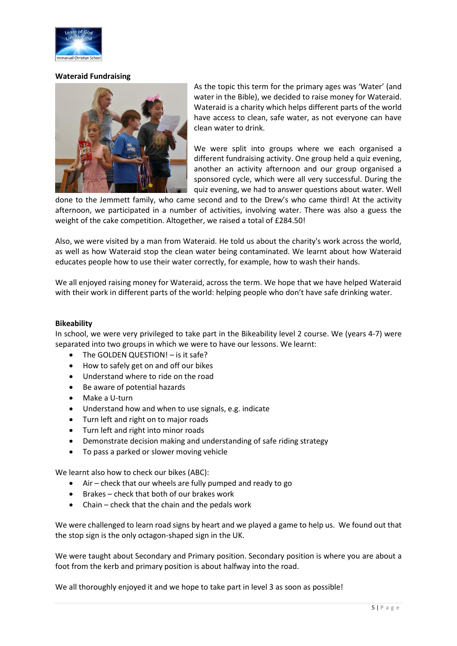

### **Wateraid Fundraising**



As the topic this term for the primary ages was 'Water' (and water in the Bible), we decided to raise money for Wateraid. Wateraid is a charity which helps different parts of the world have access to clean, safe water, as not everyone can have clean water to drink.

We were split into groups where we each organised a different fundraising activity. One group held a quiz evening, another an activity afternoon and our group organised a sponsored cycle, which were all very successful. During the quiz evening, we had to answer questions about water. Well

done to the Jemmett family, who came second and to the Drew's who came third! At the activity afternoon, we participated in a number of activities, involving water. There was also a guess the weight of the cake competition. Altogether, we raised a total of £284.50!

Also, we were visited by a man from Wateraid. He told us about the charity's work across the world, as well as how Wateraid stop the clean water being contaminated. We learnt about how Wateraid educates people how to use their water correctly, for example, how to wash their hands.

We all enjoyed raising money for Wateraid, across the term. We hope that we have helped Wateraid with their work in different parts of the world: helping people who don't have safe drinking water.

### **Bikeability**

In school, we were very privileged to take part in the Bikeability level 2 course. We (years 4-7) were separated into two groups in which we were to have our lessons. We learnt:

- The GOLDEN QUESTION! is it safe?
- How to safely get on and off our bikes
- Understand where to ride on the road
- Be aware of potential hazards
- Make a U-turn
- Understand how and when to use signals, e.g. indicate
- Turn left and right on to major roads
- Turn left and right into minor roads
- Demonstrate decision making and understanding of safe riding strategy
- To pass a parked or slower moving vehicle

We learnt also how to check our bikes (ABC):

- $\bullet$  Air check that our wheels are fully pumped and ready to go
- Brakes check that both of our brakes work
- $\bullet$  Chain check that the chain and the pedals work

We were challenged to learn road signs by heart and we played a game to help us. We found out that the stop sign is the only octagon-shaped sign in the UK.

We were taught about Secondary and Primary position. Secondary position is where you are about a foot from the kerb and primary position is about halfway into the road.

We all thoroughly enjoyed it and we hope to take part in level 3 as soon as possible!